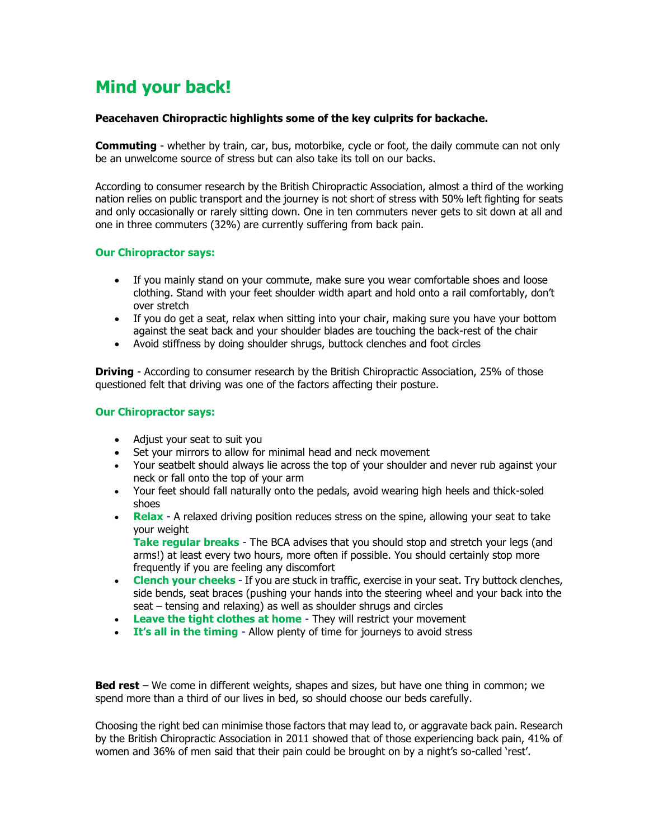# **Mind your back!**

## **Peacehaven Chiropractic highlights some of the key culprits for backache.**

**Commuting** - whether by train, car, bus, motorbike, cycle or foot, the daily commute can not only be an unwelcome source of stress but can also take its toll on our backs.

According to consumer research by the British Chiropractic Association, almost a third of the working nation relies on public transport and the journey is not short of stress with 50% left fighting for seats and only occasionally or rarely sitting down. One in ten commuters never gets to sit down at all and one in three commuters (32%) are currently suffering from back pain.

### **Our Chiropractor says:**

- If you mainly stand on your commute, make sure you wear comfortable shoes and loose clothing. Stand with your feet shoulder width apart and hold onto a rail comfortably, don't over stretch
- If you do get a seat, relax when sitting into your chair, making sure you have your bottom against the seat back and your shoulder blades are touching the back-rest of the chair
- Avoid stiffness by doing shoulder shrugs, buttock clenches and foot circles

**Driving** - According to consumer research by the British Chiropractic Association, 25% of those questioned felt that driving was one of the factors affecting their posture.

### **Our Chiropractor says:**

- Adjust your seat to suit you
- Set your mirrors to allow for minimal head and neck movement
- Your seatbelt should always lie across the top of your shoulder and never rub against your neck or fall onto the top of your arm
- Your feet should fall naturally onto the pedals, avoid wearing high heels and thick-soled shoes
- **Relax** A relaxed driving position reduces stress on the spine, allowing your seat to take your weight

**Take regular breaks** - The BCA advises that you should stop and stretch your legs (and arms!) at least every two hours, more often if possible. You should certainly stop more frequently if you are feeling any discomfort

- **Clench your cheeks** If you are stuck in traffic, exercise in your seat. Try buttock clenches, side bends, seat braces (pushing your hands into the steering wheel and your back into the seat – tensing and relaxing) as well as shoulder shrugs and circles
- **Leave the tight clothes at home** They will restrict your movement
- **It's all in the timing** Allow plenty of time for journeys to avoid stress

**Bed rest** – We come in different weights, shapes and sizes, but have one thing in common; we spend more than a third of our lives in bed, so should choose our beds carefully.

Choosing the right bed can minimise those factors that may lead to, or aggravate back pain. Research by the British Chiropractic Association in 2011 showed that of those experiencing back pain, 41% of women and 36% of men said that their pain could be brought on by a night's so-called 'rest'.